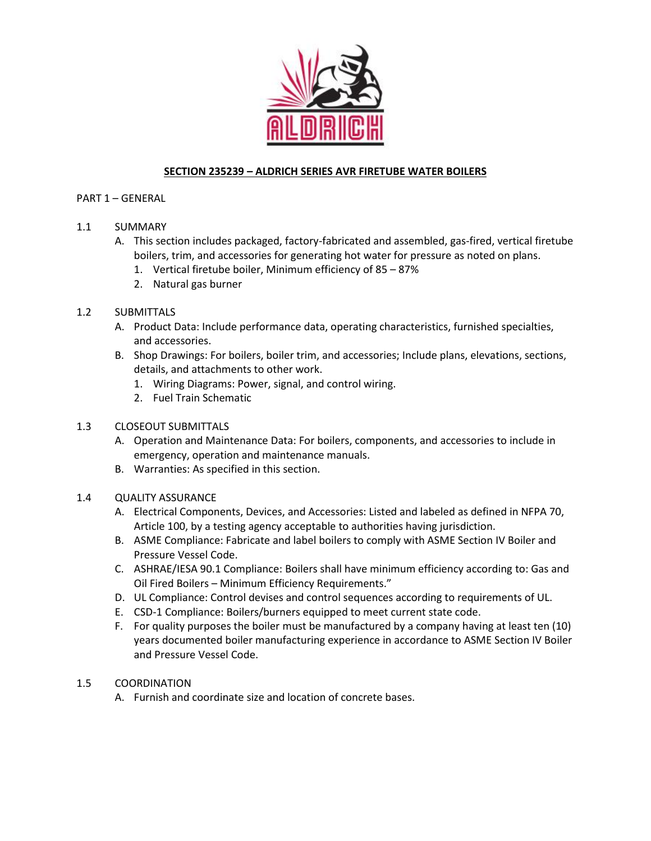

# **SECTION 235239 – ALDRICH SERIES AVR FIRETUBE WATER BOILERS**

### PART 1 – GENERAL

## 1.1 SUMMARY

- A. This section includes packaged, factory-fabricated and assembled, gas-fired, vertical firetube boilers, trim, and accessories for generating hot water for pressure as noted on plans.
	- 1. Vertical firetube boiler, Minimum efficiency of 85 87%
	- 2. Natural gas burner

## 1.2 SUBMITTALS

- A. Product Data: Include performance data, operating characteristics, furnished specialties, and accessories.
- B. Shop Drawings: For boilers, boiler trim, and accessories; Include plans, elevations, sections, details, and attachments to other work.
	- 1. Wiring Diagrams: Power, signal, and control wiring.
	- 2. Fuel Train Schematic

## 1.3 CLOSEOUT SUBMITTALS

- A. Operation and Maintenance Data: For boilers, components, and accessories to include in emergency, operation and maintenance manuals.
- B. Warranties: As specified in this section.

### 1.4 QUALITY ASSURANCE

- A. Electrical Components, Devices, and Accessories: Listed and labeled as defined in NFPA 70, Article 100, by a testing agency acceptable to authorities having jurisdiction.
- B. ASME Compliance: Fabricate and label boilers to comply with ASME Section IV Boiler and Pressure Vessel Code.
- C. ASHRAE/IESA 90.1 Compliance: Boilers shall have minimum efficiency according to: Gas and Oil Fired Boilers – Minimum Efficiency Requirements."
- D. UL Compliance: Control devises and control sequences according to requirements of UL.
- E. CSD-1 Compliance: Boilers/burners equipped to meet current state code.
- F. For quality purposes the boiler must be manufactured by a company having at least ten (10) years documented boiler manufacturing experience in accordance to ASME Section IV Boiler and Pressure Vessel Code.

## 1.5 COORDINATION

A. Furnish and coordinate size and location of concrete bases.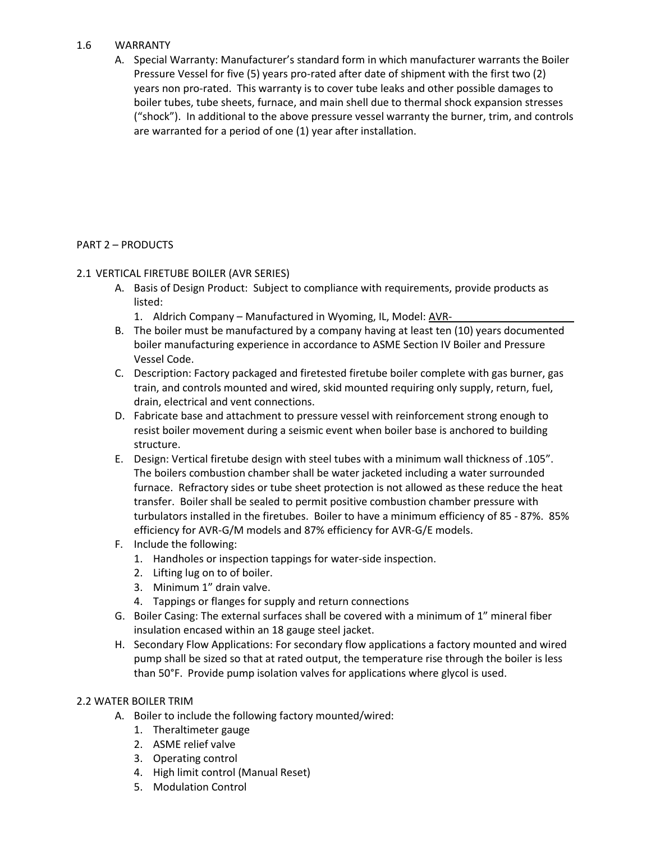### 1.6 WARRANTY

A. Special Warranty: Manufacturer's standard form in which manufacturer warrants the Boiler Pressure Vessel for five (5) years pro-rated after date of shipment with the first two (2) years non pro-rated. This warranty is to cover tube leaks and other possible damages to boiler tubes, tube sheets, furnace, and main shell due to thermal shock expansion stresses ("shock"). In additional to the above pressure vessel warranty the burner, trim, and controls are warranted for a period of one (1) year after installation.

### PART 2 – PRODUCTS

### 2.1 VERTICAL FIRETUBE BOILER (AVR SERIES)

- A. Basis of Design Product: Subject to compliance with requirements, provide products as listed:
	- 1. Aldrich Company Manufactured in Wyoming, IL, Model: AVR-
- B. The boiler must be manufactured by a company having at least ten (10) years documented boiler manufacturing experience in accordance to ASME Section IV Boiler and Pressure Vessel Code.
- C. Description: Factory packaged and firetested firetube boiler complete with gas burner, gas train, and controls mounted and wired, skid mounted requiring only supply, return, fuel, drain, electrical and vent connections.
- D. Fabricate base and attachment to pressure vessel with reinforcement strong enough to resist boiler movement during a seismic event when boiler base is anchored to building structure.
- E. Design: Vertical firetube design with steel tubes with a minimum wall thickness of .105". The boilers combustion chamber shall be water jacketed including a water surrounded furnace. Refractory sides or tube sheet protection is not allowed as these reduce the heat transfer. Boiler shall be sealed to permit positive combustion chamber pressure with turbulators installed in the firetubes. Boiler to have a minimum efficiency of 85 - 87%. 85% efficiency for AVR-G/M models and 87% efficiency for AVR-G/E models.
- F. Include the following:
	- 1. Handholes or inspection tappings for water-side inspection.
	- 2. Lifting lug on to of boiler.
	- 3. Minimum 1" drain valve.
	- 4. Tappings or flanges for supply and return connections
- G. Boiler Casing: The external surfaces shall be covered with a minimum of 1" mineral fiber insulation encased within an 18 gauge steel jacket.
- H. Secondary Flow Applications: For secondary flow applications a factory mounted and wired pump shall be sized so that at rated output, the temperature rise through the boiler is less than 50°F. Provide pump isolation valves for applications where glycol is used.

#### 2.2 WATER BOILER TRIM

- A. Boiler to include the following factory mounted/wired:
	- 1. Theraltimeter gauge
	- 2. ASME relief valve
	- 3. Operating control
	- 4. High limit control (Manual Reset)
	- 5. Modulation Control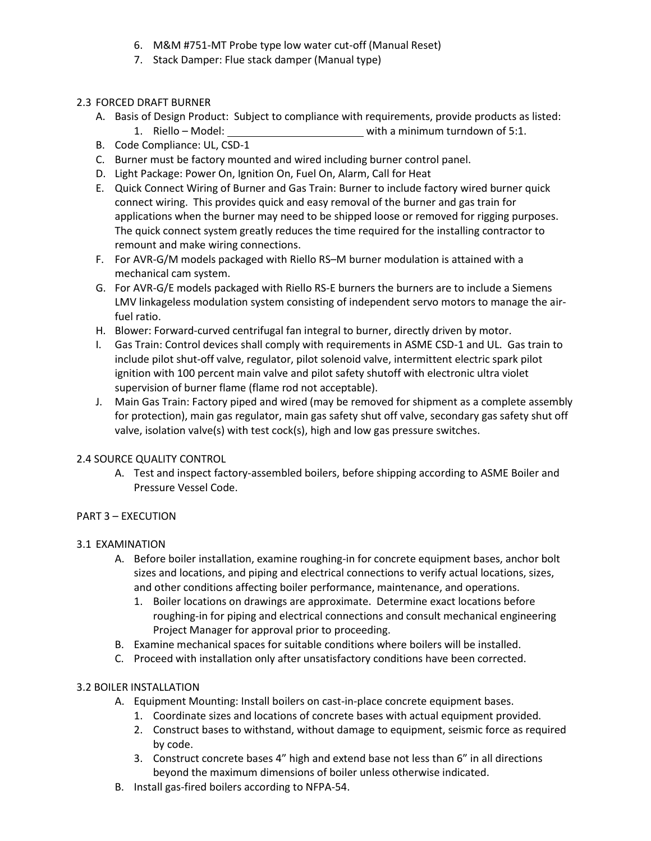- 6. M&M #751-MT Probe type low water cut-off (Manual Reset)
- 7. Stack Damper: Flue stack damper (Manual type)

## 2.3 FORCED DRAFT BURNER

- A. Basis of Design Product: Subject to compliance with requirements, provide products as listed:
	- 1. Riello Model: \_\_\_\_\_\_\_\_\_\_\_\_\_\_\_\_\_\_\_\_\_\_\_\_\_\_\_\_\_\_\_\_with a minimum turndown of 5:1.
- B. Code Compliance: UL, CSD-1
- C. Burner must be factory mounted and wired including burner control panel.
- D. Light Package: Power On, Ignition On, Fuel On, Alarm, Call for Heat
- E. Quick Connect Wiring of Burner and Gas Train: Burner to include factory wired burner quick connect wiring. This provides quick and easy removal of the burner and gas train for applications when the burner may need to be shipped loose or removed for rigging purposes. The quick connect system greatly reduces the time required for the installing contractor to remount and make wiring connections.
- F. For AVR-G/M models packaged with Riello RS–M burner modulation is attained with a mechanical cam system.
- G. For AVR-G/E models packaged with Riello RS-E burners the burners are to include a Siemens LMV linkageless modulation system consisting of independent servo motors to manage the airfuel ratio.
- H. Blower: Forward-curved centrifugal fan integral to burner, directly driven by motor.
- I. Gas Train: Control devices shall comply with requirements in ASME CSD-1 and UL. Gas train to include pilot shut-off valve, regulator, pilot solenoid valve, intermittent electric spark pilot ignition with 100 percent main valve and pilot safety shutoff with electronic ultra violet supervision of burner flame (flame rod not acceptable).
- J. Main Gas Train: Factory piped and wired (may be removed for shipment as a complete assembly for protection), main gas regulator, main gas safety shut off valve, secondary gas safety shut off valve, isolation valve(s) with test cock(s), high and low gas pressure switches.

#### 2.4 SOURCE QUALITY CONTROL

A. Test and inspect factory-assembled boilers, before shipping according to ASME Boiler and Pressure Vessel Code.

#### PART 3 – EXECUTION

#### 3.1 EXAMINATION

- A. Before boiler installation, examine roughing-in for concrete equipment bases, anchor bolt sizes and locations, and piping and electrical connections to verify actual locations, sizes, and other conditions affecting boiler performance, maintenance, and operations.
	- 1. Boiler locations on drawings are approximate. Determine exact locations before roughing-in for piping and electrical connections and consult mechanical engineering Project Manager for approval prior to proceeding.
- B. Examine mechanical spaces for suitable conditions where boilers will be installed.
- C. Proceed with installation only after unsatisfactory conditions have been corrected.

## 3.2 BOILER INSTALLATION

- A. Equipment Mounting: Install boilers on cast-in-place concrete equipment bases.
	- 1. Coordinate sizes and locations of concrete bases with actual equipment provided.
	- 2. Construct bases to withstand, without damage to equipment, seismic force as required by code.
	- 3. Construct concrete bases 4" high and extend base not less than 6" in all directions beyond the maximum dimensions of boiler unless otherwise indicated.
- B. Install gas-fired boilers according to NFPA-54.